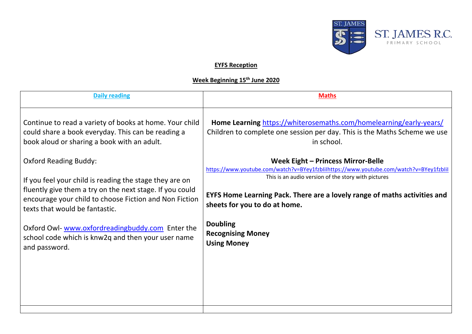

## **EYFS Reception**

## **Week Beginning 15th June 2020**

| <b>Maths</b>                                                                                                                                                  |
|---------------------------------------------------------------------------------------------------------------------------------------------------------------|
| Home Learning https://whiterosemaths.com/homelearning/early-years/<br>Children to complete one session per day. This is the Maths Scheme we use<br>in school. |
| Week Eight - Princess Mirror-Belle                                                                                                                            |
| https://www.youtube.com/watch?v=BYey1fzblilhttps://www.youtube.com/watch?v=BYey1fzblil<br>This is an audio version of the story with pictures                 |
| EYFS Home Learning Pack. There are a lovely range of maths activities and<br>sheets for you to do at home.                                                    |
| <b>Doubling</b><br><b>Recognising Money</b><br><b>Using Money</b>                                                                                             |
|                                                                                                                                                               |
|                                                                                                                                                               |
|                                                                                                                                                               |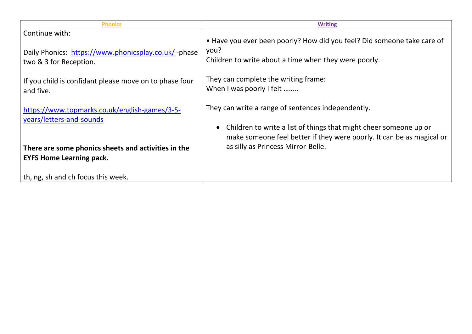| <b>Phonics</b>                                                                                                               | <b>Writing</b>                                                                                                                                                                                   |
|------------------------------------------------------------------------------------------------------------------------------|--------------------------------------------------------------------------------------------------------------------------------------------------------------------------------------------------|
| Continue with:<br>Daily Phonics: https://www.phonicsplay.co.uk/ -phase<br>two & 3 for Reception.                             | • Have you ever been poorly? How did you feel? Did someone take care of<br>you?<br>Children to write about a time when they were poorly.                                                         |
| If you child is confidant please move on to phase four<br>and five.                                                          | They can complete the writing frame:<br>When I was poorly I felt                                                                                                                                 |
| https://www.topmarks.co.uk/english-games/3-5-<br>years/letters-and-sounds                                                    | They can write a range of sentences independently.<br>Children to write a list of things that might cheer someone up or<br>make someone feel better if they were poorly. It can be as magical or |
| There are some phonics sheets and activities in the<br><b>EYFS Home Learning pack.</b><br>th, ng, sh and ch focus this week. | as silly as Princess Mirror-Belle.                                                                                                                                                               |